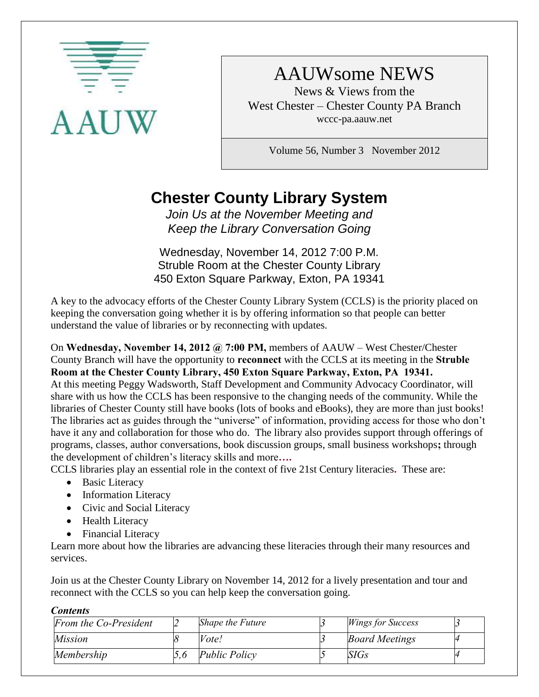

# AAUWsome NEWS

News & Views from the West Chester – Chester County PA Branch wccc-pa.aauw.net

Volume 56, Number 3 November 2012

# **Chester County Library System**

*Join Us at the November Meeting and Keep the Library Conversation Going*

Wednesday, November 14, 2012 7:00 P.M. Struble Room at the Chester County Library 450 Exton Square Parkway, Exton, PA 19341

A key to the advocacy efforts of the Chester County Library System (CCLS) is the priority placed on keeping the conversation going whether it is by offering information so that people can better understand the value of libraries or by reconnecting with updates.

On **Wednesday, November 14, 2012 @ 7:00 PM,** members of AAUW – West Chester/Chester County Branch will have the opportunity to **reconnect** with the CCLS at its meeting in the **Struble Room at the Chester County Library, 450 Exton Square Parkway, Exton, PA 19341.** 

At this meeting Peggy Wadsworth, Staff Development and Community Advocacy Coordinator, will share with us how the CCLS has been responsive to the changing needs of the community. While the libraries of Chester County still have books (lots of books and eBooks), they are more than just books! The libraries act as guides through the "universe" of information, providing access for those who don't have it any and collaboration for those who do. The library also provides support through offerings of programs, classes, author conversations, book discussion groups, small business workshops**;** through the development of children's literacy skills and more**….**

CCLS libraries play an essential role in the context of five 21st Century literacies**.** These are:

- Basic Literacy
- Information Literacy
- Civic and Social Literacy
- Health Literacy
- Financial Literacy

Learn more about how the libraries are advancing these literacies through their many resources and services.

Join us at the Chester County Library on November 14, 2012 for a lively presentation and tour and reconnect with the CCLS so you can help keep the conversation going.

#### *Contents*

| From the Co-President | Shape the Future     | <b>Wings for Success</b> |  |
|-----------------------|----------------------|--------------------------|--|
| <i>Mission</i>        | Vote!                | <b>Board Meetings</b>    |  |
| Membership            | <i>Public Policy</i> | SIGs                     |  |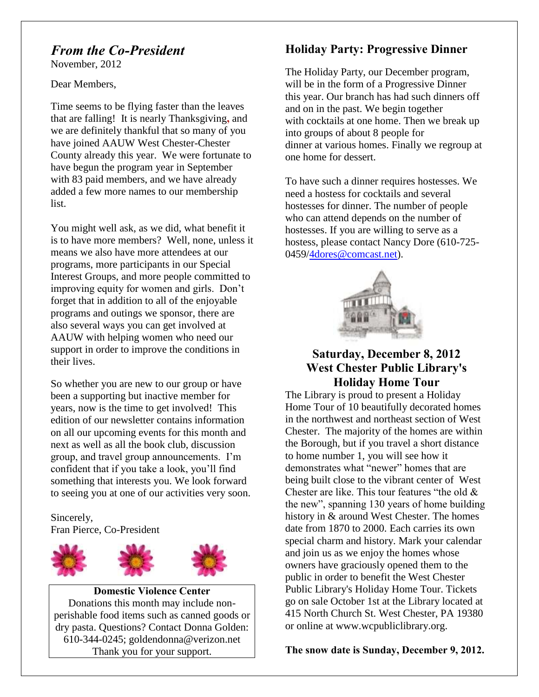## *From the Co-President*

November, 2012

Dear Members,

Time seems to be flying faster than the leaves that are falling! It is nearly Thanksgiving**,** and we are definitely thankful that so many of you have joined AAUW West Chester-Chester County already this year. We were fortunate to have begun the program year in September with 83 paid members, and we have already added a few more names to our membership list.

You might well ask, as we did, what benefit it is to have more members? Well, none, unless it means we also have more attendees at our programs, more participants in our Special Interest Groups, and more people committed to improving equity for women and girls. Don't forget that in addition to all of the enjoyable programs and outings we sponsor, there are also several ways you can get involved at AAUW with helping women who need our support in order to improve the conditions in their lives.

So whether you are new to our group or have been a supporting but inactive member for years, now is the time to get involved! This edition of our newsletter contains information on all our upcoming events for this month and next as well as all the book club, discussion group, and travel group announcements. I'm confident that if you take a look, you'll find something that interests you. We look forward to seeing you at one of our activities very soon.

Sincerely, Fran Pierce, Co-President





**Domestic Violence Center** Donations this month may include nonperishable food items such as canned goods or dry pasta. Questions? Contact Donna Golden: 610-344-0245; goldendonna@verizon.net Thank you for your support.

## **Holiday Party: Progressive Dinner**

The Holiday Party, our December program, will be in the form of a Progressive Dinner this year. Our branch has had such dinners off and on in the past. We begin together with cocktails at one home. Then we break up into groups of about 8 people for dinner at various homes. Finally we regroup at one home for dessert.

To have such a dinner requires hostesses. We need a hostess for cocktails and several hostesses for dinner. The number of people who can attend depends on the number of hostesses. If you are willing to serve as a hostess, please contact Nancy Dore (610-725- 0459[/4dores@comcast.net\)](mailto:4dores@comcast.net).



### **Saturday, December 8, 2012 West Chester Public Library's Holiday Home Tour**

The Library is proud to present a Holiday Home Tour of 10 beautifully decorated homes in the northwest and northeast section of West Chester. The majority of the homes are within the Borough, but if you travel a short distance to home number 1, you will see how it demonstrates what "newer" homes that are being built close to the vibrant center of West Chester are like. This tour features "the old & the new", spanning 130 years of home building history in & around West Chester. The homes date from 1870 to 2000. Each carries its own special charm and history. Mark your calendar and join us as we enjoy the homes whose owners have graciously opened them to the public in order to benefit the West Chester Public Library's Holiday Home Tour. Tickets go on sale October 1st at the Library located at 415 North Church St. West Chester, PA 19380 or online at www.wcpubliclibrary.org.

#### **The snow date is Sunday, December 9, 2012.**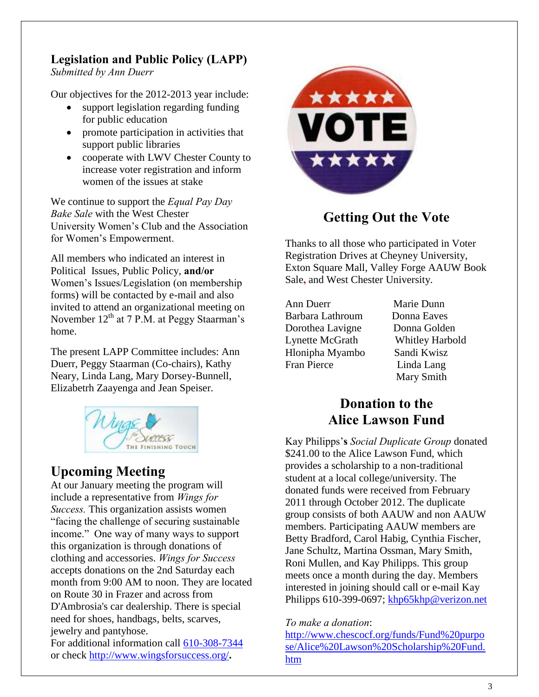## **Legislation and Public Policy (LAPP)**

*Submitted by Ann Duerr*

Our objectives for the 2012-2013 year include:

- support legislation regarding funding for public education
- promote participation in activities that support public libraries
- cooperate with LWV Chester County to increase voter registration and inform women of the issues at stake

We continue to support the *Equal Pay Day Bake Sale* with the West Chester University Women's Club and the Association for Women's Empowerment.

All members who indicated an interest in Political Issues, Public Policy, **and/or** Women's Issues/Legislation (on membership forms) will be contacted by e-mail and also invited to attend an organizational meeting on November  $12<sup>th</sup>$  at 7 P.M. at Peggy Staarman's home.

The present LAPP Committee includes: Ann Duerr, Peggy Staarman (Co-chairs), Kathy Neary, Linda Lang, Mary Dorsey-Bunnell, Elizabetrh Zaayenga and Jean Speiser.



## **Upcoming Meeting**

At our January meeting the program will include a representative from *Wings for Success.* This organization assists women "facing the challenge of securing sustainable income." One way of many ways to support this organization is through donations of clothing and accessories. *Wings for Success* accepts donations on the 2nd Saturday each month from 9:00 AM to noon. They are located on Route 30 in Frazer and across from D'Ambrosia's car dealership. There is special need for shoes, handbags, belts, scarves, jewelry and pantyhose.

For additional information call 610-308-7344 or check<http://www.wingsforsuccess.org/>**.**



## **Getting Out the Vote**

Thanks to all those who participated in Voter Registration Drives at Cheyney University, Exton Square Mall, Valley Forge AAUW Book Sale**,** and West Chester University.

Ann Duerr Marie Dunn Barbara Lathroum Donna Eaves Dorothea Lavigne Donna Golden Lynette McGrath Whitley Harbold Hlonipha Myambo Sandi Kwisz Fran Pierce Linda Lang

Mary Smith

## **Donation to the Alice Lawson Fund**

Kay Philipps'**s** *Social Duplicate Group* donated \$241.00 to the Alice Lawson Fund, which provides a scholarship to a non-traditional student at a local college/university. The donated funds were received from February 2011 through October 2012. The duplicate group consists of both AAUW and non AAUW members. Participating AAUW members are Betty Bradford, Carol Habig, Cynthia Fischer, Jane Schultz, Martina Ossman, Mary Smith, Roni Mullen, and Kay Philipps. This group meets once a month during the day. Members interested in joining should call or e-mail Kay Philipps 610-399-0697; [khp65khp@verizon.net](mailto:khp65khp@verizon.net)

#### *To make a donation*:

[http://www.chescocf.org/funds/Fund%20purpo](http://www.chescocf.org/funds/Fund%20purpose/Alice%20Lawson%20Scholarship%20Fund.htm) [se/Alice%20Lawson%20Scholarship%20Fund.](http://www.chescocf.org/funds/Fund%20purpose/Alice%20Lawson%20Scholarship%20Fund.htm) [htm](http://www.chescocf.org/funds/Fund%20purpose/Alice%20Lawson%20Scholarship%20Fund.htm)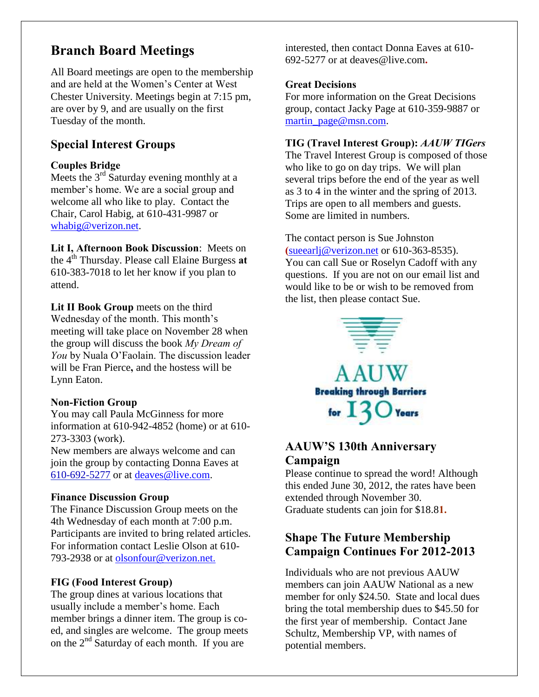## **Branch Board Meetings**

All Board meetings are open to the membership and are held at the Women's Center at West Chester University. Meetings begin at 7:15 pm, are over by 9, and are usually on the first Tuesday of the month.

### **Special Interest Groups**

#### **Couples Bridge**

Meets the  $3<sup>rd</sup>$  Saturday evening monthly at a member's home. We are a social group and welcome all who like to play. Contact the Chair, Carol Habig, at 610-431-9987 or [whabig@verizon.net.](mailto:whabig@verizon.net)

**Lit I, Afternoon Book Discussion**: Meets on the 4th Thursday. Please call Elaine Burgess **at**  610-383-7018 to let her know if you plan to attend.

Lit II Book Group meets on the third Wednesday of the month. This month's meeting will take place on November 28 when the group will discuss the book *My Dream of You* by Nuala O'Faolain. The discussion leader will be Fran Pierce**,** and the hostess will be Lynn Eaton.

#### **Non-Fiction Group**

You may call Paula McGinness for more information at 610-942-4852 (home) or at 610- 273-3303 (work).

New members are always welcome and can join the group by contacting Donna Eaves at 610-692-5277 or at [deaves@live.com.](mailto:deaves@live.com)

#### **Finance Discussion Group**

The Finance Discussion Group meets on the 4th Wednesday of each month at 7:00 p.m. Participants are invited to bring related articles. For information contact Leslie Olson at 610- 793-2938 or at olsonfour@verizon.net.

#### **FIG (Food Interest Group)**

The group dines at various locations that usually include a member's home. Each member brings a dinner item. The group is coed, and singles are welcome. The group meets on the  $2<sup>nd</sup>$  Saturday of each month. If you are

interested, then contact Donna Eaves at 610- 692-5277 or at deaves@live.com**.**

#### **Great Decisions**

For more information on the Great Decisions group, contact Jacky Page at 610-359-9887 or [martin\\_page@msn.com.](mailto:martin_page@msn.com)

#### **TIG (Travel Interest Group):** *AAUW TIGers*

The Travel Interest Group is composed of those who like to go on day trips. We will plan several trips before the end of the year as well as 3 to 4 in the winter and the spring of 2013. Trips are open to all members and guests. Some are limited in numbers.

The contact person is Sue Johnston **(**[sueearlj@verizon.net](mailto:sueearlj@verizon.net) or 610-363-8535). You can call Sue or Roselyn Cadoff with any questions. If you are not on our email list and would like to be or wish to be removed from the list, then please contact Sue.



## **AAUW'S 130th Anniversary Campaign**

Please continue to spread the word! Although this ended June 30, 2012, the rates have been extended through November 30. Graduate students can join for \$18.8**1.**

## **Shape The Future Membership Campaign Continues For 2012-2013**

Individuals who are not previous AAUW members can join AAUW National as a new member for only \$24.50. State and local dues bring the total membership dues to \$45.50 for the first year of membership. Contact Jane Schultz, Membership VP, with names of potential members.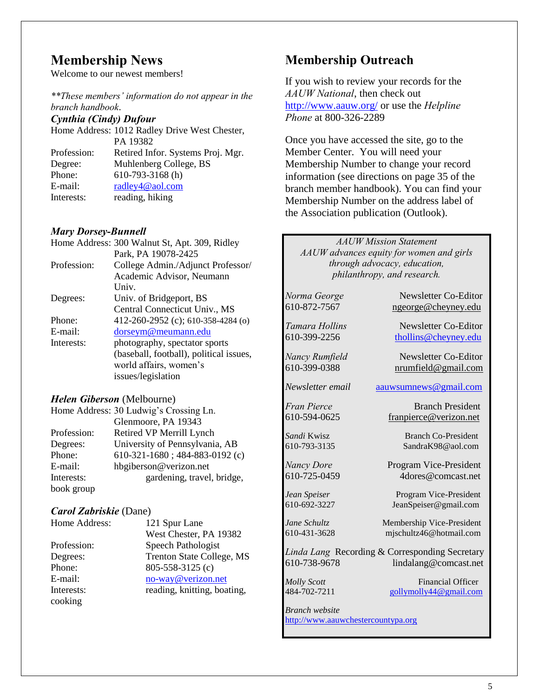## **Membership News**

Welcome to our newest members!

*\*\*These members' information do not appear in the branch handbook*.

#### *Cynthia (Cindy) Dufour*

Home Address: 1012 Radley Drive West Chester, PA 19382 Profession: Retired Infor. Systems Proj. Mgr. Degree: Muhlenberg College, BS Phone: 610-793-3168 (h) E-mail: [radley4@aol.com](mailto:radley4@aol.com) Interests: reading, hiking

#### *Mary Dorsey-Bunnell*

|             | Home Address: 300 Walnut St, Apt. 309, Ridley |
|-------------|-----------------------------------------------|
|             | Park, PA 19078-2425                           |
| Profession: | College Admin./Adjunct Professor/             |
|             | Academic Advisor, Neumann                     |
|             | Univ.                                         |
| Degrees:    | Univ. of Bridgeport, BS                       |
|             | Central Connecticut Univ., MS                 |
| Phone:      | 412-260-2952 (c); 610-358-4284 (o)            |
| E-mail:     | dorseym@meumann.edu                           |
| Interests:  | photography, spectator sports                 |
|             | (baseball, football), political issues,       |
|             | world affairs, women's                        |
|             | issues/legislation                            |

#### *Helen Giberson* (Melbourne)

|             | Home Address: 30 Ludwig's Crossing Ln. |
|-------------|----------------------------------------|
|             | Glenmoore, PA 19343                    |
| Profession: | Retired VP Merrill Lynch               |
| Degrees:    | University of Pennsylvania, AB         |
| Phone:      | 610-321-1680; 484-883-0192 (c)         |
| E-mail:     | hbgiberson@verizon.net                 |
| Interests:  | gardening, travel, bridge,             |
| book group  |                                        |

#### *Carol Zabriskie* (Dane)

| Home Address: | 121 Spur Lane               |
|---------------|-----------------------------|
|               | West Chester, PA 19382      |
| Profession:   | Speech Pathologist          |
| Degrees:      | Trenton State College, MS   |
| Phone:        | 805-558-3125 (c)            |
| E-mail:       | no-way@verizon.net          |
| Interests:    | reading, knitting, boating, |
| cooking       |                             |

## **Membership Outreach**

If you wish to review your records for the *AAUW National*, then check out <http://www.aauw.org/> or use the *Helpline Phone* at 800-326-2289

Once you have accessed the site, go to the Member Center. You will need your Membership Number to change your record information (see directions on page 35 of the branch member handbook). You can find your Membership Number on the address label of the Association publication (Outlook).

*AAUW Mission Statement AAUW advances equity for women and girls through advocacy, education, philanthropy, and research.*

*Norma George* Newsletter Co-Editor 610-872-7567 [ngeorge@cheyney.edu](mailto:ngeorge@cheyney.ecu) *Tamara Hollins* Newsletter Co-Editor 610-399-2256 [thollins@cheyney.edu](mailto:thollins@cheyney.edu) *Nancy Rumfield* Newsletter Co-Editor 610-399-0388 [nrumfield@gmail.com](mailto:nrumfield@gmail.com) *Newsletter email* [aauwsumnews@gmail.com](mailto:aauwsumnews@gmail.com) *Fran Pierce* Branch President 610-594-0625 [franpierce@verizon.net](mailto:franpierce@verizon.net) **Sandi Kwisz** Branch Co-President 610-793-3135 SandraK98@aol.com *Nancy Dore* Program Vice-President 610-725-0459 4dores@comcast.net *Jean Speiser* Program Vice-President 610-692-3227 JeanSpeiser@gmail.com *Jane Schultz* **Membership Vice-President** 610-431-3628 mjschultz46@hotmail.com *Linda Lang* Recording & Corresponding Secretary 610-738-9678 lindalang@comcast.net *Molly Scott* Financial Officer 484-702-7211 [gollymolly44@gmail.com](mailto:gollymolly44@gmail.com) *Branch website* [http://www.aauwchestercountypa.org](http://www.aauwchestercountypa.org/)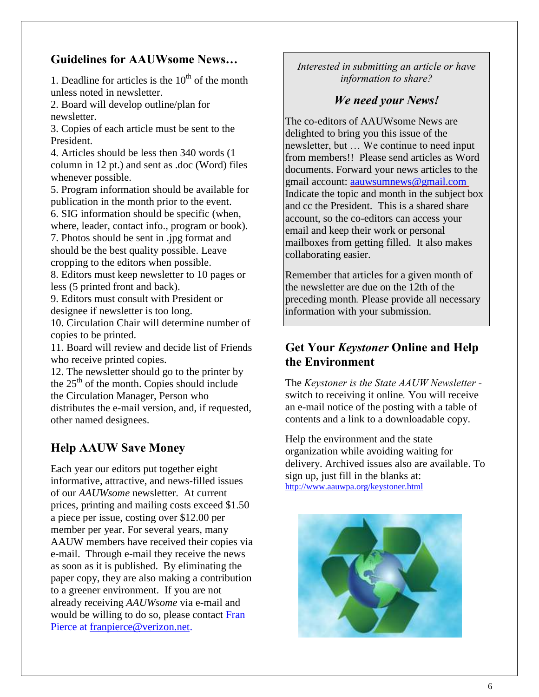## **Guidelines for AAUWsome News…**

1. Deadline for articles is the  $10<sup>th</sup>$  of the month unless noted in newsletter.

2. Board will develop outline/plan for newsletter.

3. Copies of each article must be sent to the President.

4. Articles should be less then 340 words (1 column in 12 pt.) and sent as .doc (Word) files whenever possible.

5. Program information should be available for publication in the month prior to the event. 6. SIG information should be specific (when, where, leader, contact info., program or book). 7. Photos should be sent in .jpg format and should be the best quality possible. Leave

cropping to the editors when possible.

8. Editors must keep newsletter to 10 pages or less (5 printed front and back).

9. Editors must consult with President or designee if newsletter is too long.

10. Circulation Chair will determine number of copies to be printed.

11. Board will review and decide list of Friends who receive printed copies.

12. The newsletter should go to the printer by the  $25<sup>th</sup>$  of the month. Copies should include the Circulation Manager, Person who distributes the e-mail version, and, if requested, other named designees.

### **Help AAUW Save Money**

Each year our editors put together eight informative, attractive, and news-filled issues of our *AAUWsome* newsletter. At current prices, printing and mailing costs exceed \$1.50 a piece per issue, costing over \$12.00 per member per year. For several years, many AAUW members have received their copies via e-mail. Through e-mail they receive the news as soon as it is published. By eliminating the paper copy, they are also making a contribution to a greener environment. If you are not already receiving *AAUWsome* via e-mail and would be willing to do so, please contact Fran Pierce at [franpierce@verizon.net.](mailto:franpierce@verizon.net)

*Interested in submitting an article or have information to share?*

## *We need your News!*

The co-editors of AAUWsome News are delighted to bring you this issue of the newsletter, but … We continue to need input from members!! Please send articles as Word documents. Forward your news articles to the gmail account: [aauwsumnews@gmail.com](mailto:aauwsumnews@gmail.com) Indicate the topic and month in the subject box and cc the President. This is a shared share account, so the co-editors can access your email and keep their work or personal mailboxes from getting filled. It also makes collaborating easier.

Remember that articles for a given month of the newsletter are due on the 12th of the preceding month*.* Please provide all necessary information with your submission.

### **Get Your** *Keystoner* **Online and Help the Environment**

The *Keystoner is the State AAUW Newsletter*  switch to receiving it online*.* You will receive an e-mail notice of the posting with a table of contents and a link to a downloadable copy.

Help the environment and the state organization while avoiding waiting for delivery. Archived issues also are available. To sign up, just fill in the blanks at: <http://www.aauwpa.org/keystoner.html>

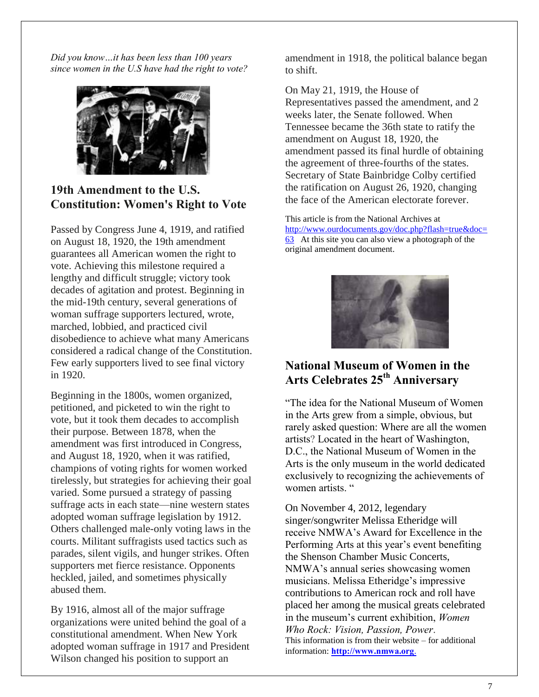*Did you know…it has been less than 100 years since women in the U.S have had the right to vote?*



## **19th Amendment to the U.S. Constitution: Women's Right to Vote**

Passed by Congress June 4, 1919, and ratified on August 18, 1920, the 19th amendment guarantees all American women the right to vote. Achieving this milestone required a lengthy and difficult struggle; victory took decades of agitation and protest. Beginning in the mid-19th century, several generations of woman suffrage supporters lectured, wrote, marched, lobbied, and practiced civil disobedience to achieve what many Americans considered a radical change of the Constitution. Few early supporters lived to see final victory in 1920.

Beginning in the 1800s, women organized, petitioned, and picketed to win the right to vote, but it took them decades to accomplish their purpose. Between 1878, when the amendment was first introduced in Congress, and August 18, 1920, when it was ratified, champions of voting rights for women worked tirelessly, but strategies for achieving their goal varied. Some pursued a strategy of passing suffrage acts in each state—nine western states adopted woman suffrage legislation by 1912. Others challenged male-only voting laws in the courts. Militant suffragists used tactics such as parades, silent vigils, and hunger strikes. Often supporters met fierce resistance. Opponents heckled, jailed, and sometimes physically abused them.

By 1916, almost all of the major suffrage organizations were united behind the goal of a constitutional amendment. When New York adopted woman suffrage in 1917 and President Wilson changed his position to support an

amendment in 1918, the political balance began to shift.

On May 21, 1919, the House of Representatives passed the amendment, and 2 weeks later, the Senate followed. When Tennessee became the 36th state to ratify the amendment on August 18, 1920, the amendment passed its final hurdle of obtaining the agreement of three-fourths of the states. Secretary of State Bainbridge Colby certified the ratification on August 26, 1920, changing the face of the American electorate forever.

This article is from the National Archives at [http://www.ourdocuments.gov/doc.php?flash=true&doc=](http://www.ourdocuments.gov/doc.php?flash=true&doc=63) [63](http://www.ourdocuments.gov/doc.php?flash=true&doc=63) At this site you can also view a photograph of the original amendment document.



## **National Museum of Women in the Arts Celebrates 25th Anniversary**

"The idea for the National Museum of Women in the Arts grew from a simple, obvious, but rarely asked question: Where are all the women artists? Located in the heart of Washington, D.C., the National Museum of Women in the Arts is the only museum in the world dedicated exclusively to recognizing the achievements of women artists. "

On November 4, 2012, legendary singer/songwriter [Melissa Etheridge](http://www.melissaetheridge.com/) will receive NMWA's Award for Excellence in the Performing Arts at this year's event benefiting the Shenson Chamber Music Concerts, NMWA's annual series showcasing women musicians. Melissa Etheridge's impressive contributions to American rock and roll have placed her among the musical greats celebrated in the museum's current exhibition, *[Women](http://www.nmwa.org/exhibitions/women-who-rock)  [Who Rock: Vision, Passion, Power](http://www.nmwa.org/exhibitions/women-who-rock)*. This information is from their website – for additional information: **http://www.nmwa.org**.